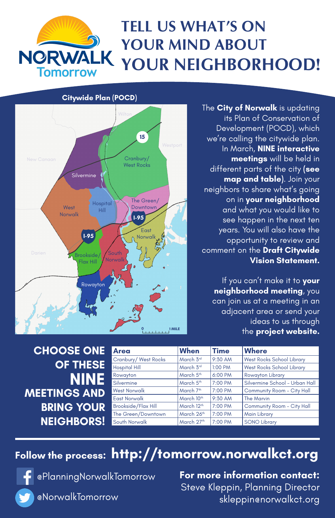

## **TELL US WHAT'S ON YOUR MIND ABOUT YOUR NEIGHBORHOOD!**

## **CHOOSE ONE OF THESE**

The **City of Norwalk** is updating its Plan of Conservation of Development (POCD), which we're calling the citywide plan. In March, **NINE interactive meetings** will be held in different parts of the city **(see map and table)**. Join your neighbors to share what's going on in **your neighborhood** and what you would like to see happen in the next ten years. You will also have the opportunity to review and comment on the **Draft Citywide Vision Statement.** 

**For more information contact:** Steve Kleppin, Planning Director skleppin@norwalkct.org

If you can't make it to **your neighborhood meeting**, you can join us at a meeting in an adjacent area or send your ideas to us through the **project website.**

| <b>CHOOSE ONE</b>   | <b>Area</b>                 | <b>When</b>            | <b>Time</b> | <b>Where</b>                      |
|---------------------|-----------------------------|------------------------|-------------|-----------------------------------|
|                     | <b>Cranbury/ West Rocks</b> | March 3rd              | 9:30 AM     | <b>West Rocks School Library</b>  |
| <b>OF THESE</b>     | <b>Hospital Hill</b>        | March 3rd              | 1:00 PM     | <b>West Rocks School Library</b>  |
| NINE                | Rowayton                    | March 5th              | 6:00 PM     | <b>Rowayton Library</b>           |
|                     | Silvermine                  | March 5 <sup>th</sup>  | 7:00 PM     | Silvermine School - Urban Hall    |
| <b>MEETINGS AND</b> | <b>West Norwalk</b>         | March 7th              | 7:00 PM     | <b>Community Room - City Hall</b> |
|                     | <b>East Norwalk</b>         | March 10 <sup>th</sup> | 9:30 AM     | <b>The Marvin</b>                 |
| <b>BRING YOUR</b>   | <b>Brookside/Flax Hill</b>  | March 12 <sup>th</sup> | 7:00 PM     | <b>Community Room - City Hall</b> |
|                     | The Green/Downtown          | March 26th             | 7:00 PM     | <b>Main Library</b>               |
| <b>NEIGHBORS!</b>   | South Norwalk               | March 27th             | 7:00 PM     | <b>SONO Library</b>               |

## Follow the process: htt**p://tomorrow.norwalkct.org**

@PlanningNorwalkTomorrow

@NorwalkTomorrow



#### **Citywide Plan (POCD)**